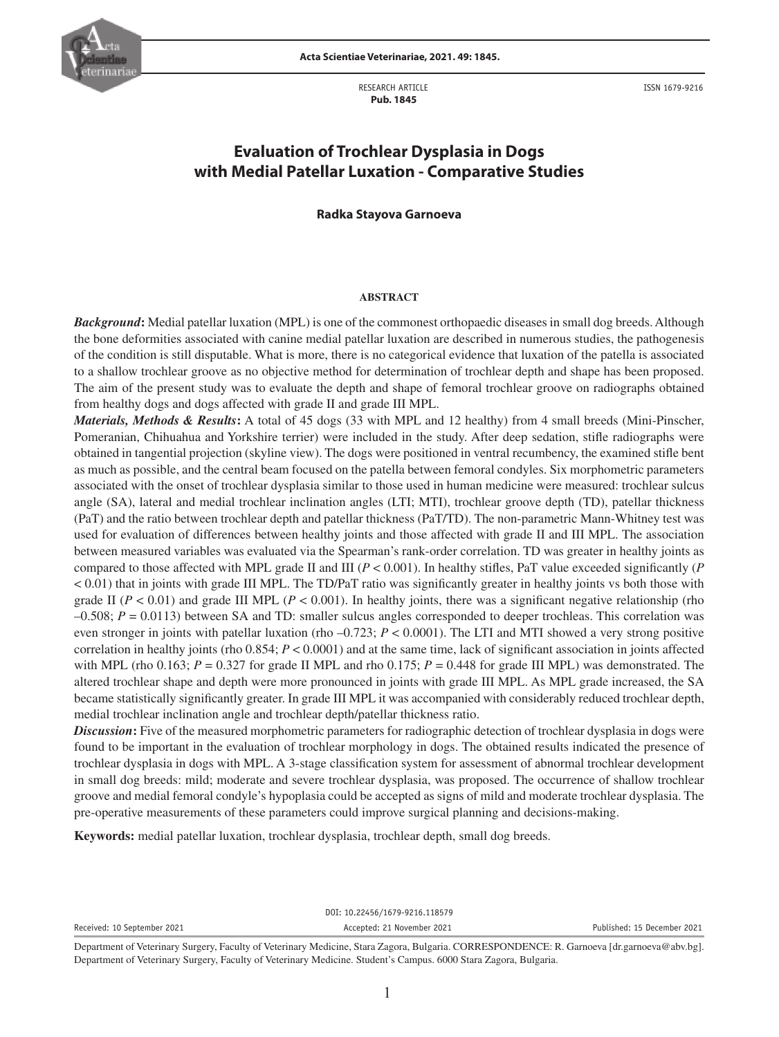

RESEARCH ARTICLE  **Pub. 1845**

ISSN 1679-9216

# **Evaluation of Trochlear Dysplasia in Dogs with Medial Patellar Luxation - Comparative Studies**

### **Radka Stayova Garnoeva**

#### **ABSTRACT**

*Background***:** Medial patellar luxation (MPL) is one of the commonest orthopaedic diseases in small dog breeds. Although the bone deformities associated with canine medial patellar luxation are described in numerous studies, the pathogenesis of the condition is still disputable. What is more, there is no categorical evidence that luxation of the patella is associated to a shallow trochlear groove as no objective method for determination of trochlear depth and shape has been proposed. The aim of the present study was to evaluate the depth and shape of femoral trochlear groove on radiographs obtained from healthy dogs and dogs affected with grade II and grade III MPL.

*Materials, Methods & Results***:** A total of 45 dogs (33 with MPL and 12 healthy) from 4 small breeds (Mini-Pinscher, Pomeranian, Chihuahua and Yorkshire terrier) were included in the study. After deep sedation, stifle radiographs were obtained in tangential projection (skyline view). The dogs were positioned in ventral recumbency, the examined stifle bent as much as possible, and the central beam focused on the patella between femoral condyles. Six morphometric parameters associated with the onset of trochlear dysplasia similar to those used in human medicine were measured: trochlear sulcus angle (SA), lateral and medial trochlear inclination angles (LTI; MTI), trochlear groove depth (TD), patellar thickness (PaT) and the ratio between trochlear depth and patellar thickness (PaT/TD). The non-parametric Mann-Whitney test was used for evaluation of differences between healthy joints and those affected with grade II and III MPL. The association between measured variables was evaluated via the Spearman's rank-order correlation. TD was greater in healthy joints as compared to those affected with MPL grade II and III (*P* < 0.001). In healthy stifles, PaT value exceeded significantly (*P* < 0.01) that in joints with grade III MPL. The TD/PaT ratio was significantly greater in healthy joints vs both those with grade II ( $P < 0.01$ ) and grade III MPL ( $P < 0.001$ ). In healthy joints, there was a significant negative relationship (rho –0.508; *P* = 0.0113) between SA and TD: smaller sulcus angles corresponded to deeper trochleas. This correlation was even stronger in joints with patellar luxation (rho –0.723; *P* < 0.0001). The LTI and MTI showed a very strong positive correlation in healthy joints (rho 0.854; *P* < 0.0001) and at the same time, lack of significant association in joints affected with MPL (rho 0.163;  $P = 0.327$  for grade II MPL and rho 0.175;  $P = 0.448$  for grade III MPL) was demonstrated. The altered trochlear shape and depth were more pronounced in joints with grade III MPL. As MPL grade increased, the SA became statistically significantly greater. In grade III MPL it was accompanied with considerably reduced trochlear depth, medial trochlear inclination angle and trochlear depth/patellar thickness ratio.

*Discussion*: Five of the measured morphometric parameters for radiographic detection of trochlear dysplasia in dogs were found to be important in the evaluation of trochlear morphology in dogs. The obtained results indicated the presence of trochlear dysplasia in dogs with MPL. A 3-stage classification system for assessment of abnormal trochlear development in small dog breeds: mild; moderate and severe trochlear dysplasia, was proposed. The occurrence of shallow trochlear groove and medial femoral condyle's hypoplasia could be accepted as signs of mild and moderate trochlear dysplasia. The pre-operative measurements of these parameters could improve surgical planning and decisions-making.

**Keywords:** medial patellar luxation, trochlear dysplasia, trochlear depth, small dog breeds.

| Received: 10 September 2021 | Accepted: 21 November 2021     | Published: 15 December 2021 |
|-----------------------------|--------------------------------|-----------------------------|
|                             | DOI: 10.22456/1679-9216.118579 |                             |

Department of Veterinary Surgery, Faculty of Veterinary Medicine, Stara Zagora, Bulgaria. CORRESPONDENCE: R. Garnoeva [dr.garnoeva@abv.bg]. Department of Veterinary Surgery, Faculty of Veterinary Medicine. Student's Campus. 6000 Stara Zagora, Bulgaria.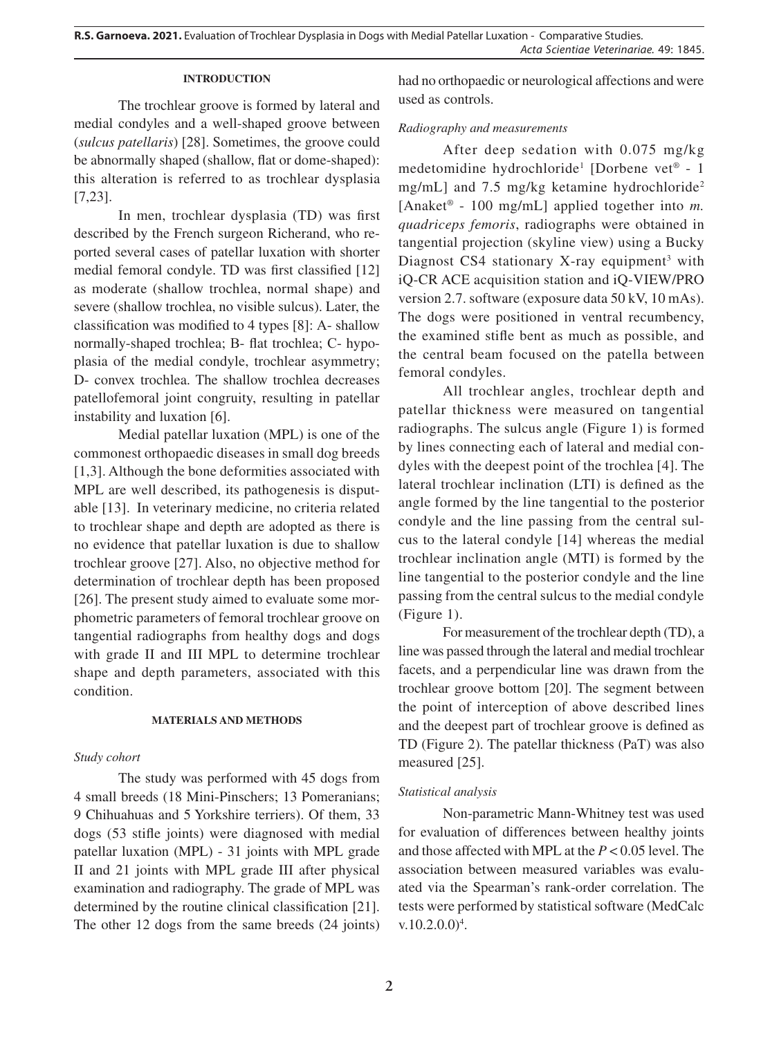# **INTRODUCTION**

The trochlear groove is formed by lateral and medial condyles and a well-shaped groove between (*sulcus patellaris*) [28]. Sometimes, the groove could be abnormally shaped (shallow, flat or dome-shaped): this alteration is referred to as trochlear dysplasia [7,23].

In men, trochlear dysplasia (TD) was first described by the French surgeon Richerand, who reported several cases of patellar luxation with shorter medial femoral condyle. TD was first classified [12] as moderate (shallow trochlea, normal shape) and severe (shallow trochlea, no visible sulcus). Later, the classification was modified to 4 types [8]: А- shallow normally-shaped trochlea; В- flat trochlea; С- hypoplasia of the medial condyle, trochlear asymmetry; D- convex trochlea. The shallow trochlea decreases patellofemoral joint congruity, resulting in patellar instability and luxation [6].

Medial patellar luxation (MPL) is one of the commonest orthopaedic diseases in small dog breeds [1,3]. Although the bone deformities associated with MPL are well described, its pathogenesis is disputable [13]. In veterinary medicine, no criteria related to trochlear shape and depth are adopted as there is no evidence that patellar luxation is due to shallow trochlear groove [27]. Also, no objective method for determination of trochlear depth has been proposed [26]. The present study aimed to evaluate some morphometric parameters of femoral trochlear groove on tangential radiographs from healthy dogs and dogs with grade II and III MPL to determine trochlear shape and depth parameters, associated with this condition.

# **MATERIALS AND METHODS**

# *Study cohort*

The study was performed with 45 dogs from 4 small breeds (18 Mini-Pinschers; 13 Pomeranians; 9 Chihuahuas and 5 Yorkshire terriers). Of them, 33 dogs (53 stifle joints) were diagnosed with medial patellar luxation (MPL) - 31 joints with MPL grade II and 21 joints with MPL grade III after physical examination and radiography. The grade of MPL was determined by the routine clinical classification [21]. The other 12 dogs from the same breeds (24 joints) had no orthopaedic or neurological affections and were used as controls.

# *Radiography and measurements*

After deep sedation with 0.075 mg/kg medetomidine hydrochloride<sup>1</sup> [Dorbene vet<sup>®</sup> - 1 mg/mL] and 7.5 mg/kg ketamine hydrochloride<sup>2</sup> [Anaket® - 100 mg/mL] applied together into *m. quadriceps femoris*, radiographs were obtained in tangential projection (skyline view) using a Bucky Diagnost CS4 stationary X-ray equipment<sup>3</sup> with iQ-CR ACE acquisition station and iQ-VIEW/PRO version 2.7. software (exposure data 50 kV, 10 mAs). The dogs were positioned in ventral recumbency, the examined stifle bent as much as possible, and the central beam focused on the patella between femoral condyles.

All trochlear angles, trochlear depth and patellar thickness were measured on tangential radiographs. The sulcus angle (Figure 1) is formed by lines connecting each of lateral and medial condyles with the deepest point of the trochlea [4]. The lateral trochlear inclination (LTI) is defined as the angle formed by the line tangential to the posterior condyle and the line passing from the central sulcus to the lateral condyle [14] whereas the medial trochlear inclination angle (MTI) is formed by the line tangential to the posterior condyle and the line passing from the central sulcus to the medial condyle (Figure 1).

For measurement of the trochlear depth (TD), a line was passed through the lateral and medial trochlear facets, and a perpendicular line was drawn from the trochlear groove bottom [20]. The segment between the point of interception of above described lines and the deepest part of trochlear groove is defined as TD (Figure 2). The patellar thickness (PaT) was also measured [25].

# *Statistical analysis*

Non-parametric Mann-Whitney test was used for evaluation of differences between healthy joints and those affected with MPL at the *P* < 0.05 level. The association between measured variables was evaluated via the Spearman's rank-order correlation. The tests were performed by statistical software (MedCalc  $v.10.2.0.0$ <sup>4</sup>.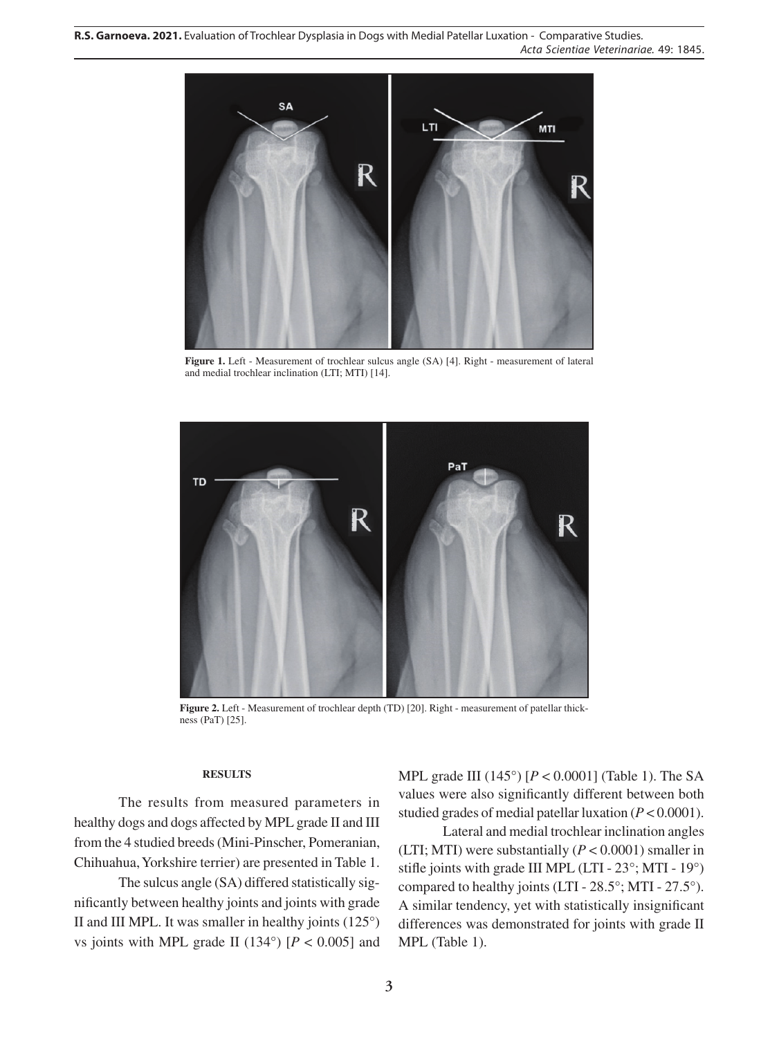

**Figure 1.** Left - Measurement of trochlear sulcus angle (SA) [4]. Right - measurement of lateral and medial trochlear inclination (LTI; MTI) [14].



Figure 2. Left - Measurement of trochlear depth (TD) [20]. Right - measurement of patellar thickness (PaT) [25].

# **RESULTS**

The results from measured parameters in healthy dogs and dogs affected by MPL grade II and III from the 4 studied breeds (Mini-Pinscher, Pomeranian, Chihuahua, Yorkshire terrier) are presented in Table 1.

The sulcus angle (SA) differed statistically significantly between healthy joints and joints with grade II and III MPL. It was smaller in healthy joints (125°) vs joints with MPL grade II (134 $\degree$ ) [*P* < 0.005] and MPL grade III (145°) [*P* < 0.0001] (Table 1). The SA values were also significantly different between both studied grades of medial patellar luxation (*P* < 0.0001).

Lateral and medial trochlear inclination angles (LTI; MTI) were substantially  $(P < 0.0001)$  smaller in stifle joints with grade III MPL (LTI - 23°; MTI - 19°) compared to healthy joints (LTI - 28.5°; MTI - 27.5°). A similar tendency, yet with statistically insignificant differences was demonstrated for joints with grade II MPL (Table 1).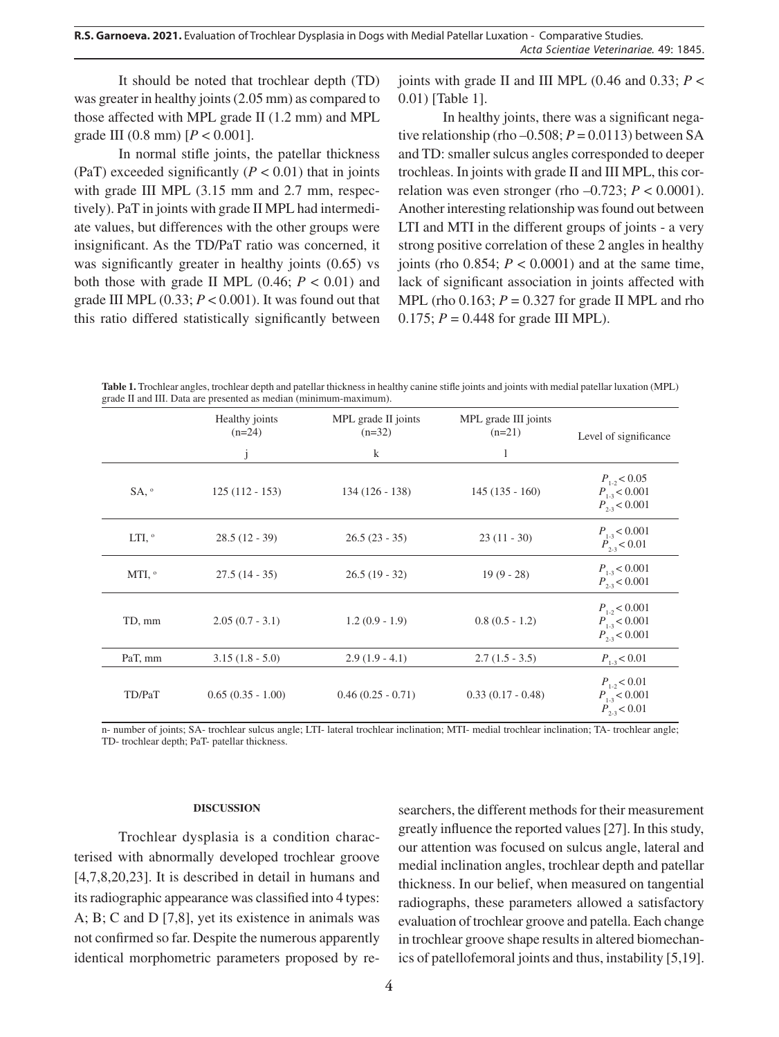It should be noted that trochlear depth (TD) was greater in healthy joints (2.05 mm) as compared to those affected with MPL grade II (1.2 mm) and MPL grade III (0.8 mm) [*P* < 0.001].

In normal stifle joints, the patellar thickness (PaT) exceeded significantly  $(P < 0.01)$  that in joints with grade III MPL (3.15 mm and 2.7 mm, respectively). PaT in joints with grade II MPL had intermediate values, but differences with the other groups were insignificant. As the TD/PaT ratio was concerned, it was significantly greater in healthy joints  $(0.65)$  vs both those with grade II MPL  $(0.46; P < 0.01)$  and grade III MPL  $(0.33; P < 0.001)$ . It was found out that this ratio differed statistically significantly between joints with grade II and III MPL (0.46 and 0.33;  $P \leq$ 0.01) [Table 1].

In healthy joints, there was a significant negative relationship (rho  $-0.508$ ;  $P = 0.0113$ ) between SA and TD: smaller sulcus angles corresponded to deeper trochleas. In joints with grade II and III MPL, this correlation was even stronger (rho  $-0.723$ ;  $P < 0.0001$ ). Another interesting relationship was found out between LTI and MTI in the different groups of joints - a very strong positive correlation of these 2 angles in healthy joints (rho  $0.854$ ;  $P < 0.0001$ ) and at the same time, lack of significant association in joints affected with MPL (rho  $0.163$ ;  $P = 0.327$  for grade II MPL and rho 0.175;  $P = 0.448$  for grade III MPL).

**Table 1.** Trochlear angles, trochlear depth and patellar thickness in healthy canine stifle joints and joints with medial patellar luxation (MPL) grade II and III. Data are presented as median (minimum-maximum).

|                 | Healthy joints<br>$(n=24)$ | MPL grade II joints<br>$(n=32)$ | MPL grade III joints<br>$(n=21)$ | Level of significance                                       |
|-----------------|----------------------------|---------------------------------|----------------------------------|-------------------------------------------------------------|
|                 | j                          | $\bf k$                         | 1                                |                                                             |
| $SA, \degree$   | $125(112 - 153)$           | $134(126 - 138)$                | $145(135 - 160)$                 | $P_{1.2}$ < 0.05<br>$P_{1.3}$ < 0.001<br>$P_{2.3}$ < 0.001  |
| LTI, $^{\circ}$ | $28.5(12 - 39)$            | $26.5(23 - 35)$                 | $23(11 - 30)$                    | $P_{1.3}$ < 0.001<br>$P_{2,3}$ < 0.01                       |
| MTI, $^{\circ}$ | $27.5(14-35)$              | $26.5(19-32)$                   | $19(9-28)$                       | $P_{1.3}$ < 0.001<br>$P_{2.3}$ < 0.001                      |
| TD, mm          | $2.05(0.7 - 3.1)$          | $1.2(0.9 - 1.9)$                | $0.8(0.5 - 1.2)$                 | $P_{1.2}$ < 0.001<br>$P_{1.3}$ < 0.001<br>$P_{2.3}$ < 0.001 |
| PaT, mm         | $3.15(1.8-5.0)$            | $2.9(1.9 - 4.1)$                | $2.7(1.5 - 3.5)$                 | $P_{1.3}$ < 0.01                                            |
| TD/PaT          | $0.65(0.35 - 1.00)$        | $0.46(0.25 - 0.71)$             | $0.33(0.17 - 0.48)$              | $P_{1.2}$ < 0.01<br>$P_{1.3}$ < 0.001<br>$P_{2.3}$ < 0.01   |

n- number of joints; SA- trochlear sulcus angle; LTI- lateral trochlear inclination; MTI- medial trochlear inclination; TA- trochlear angle; TD- trochlear depth; PaT- patellar thickness.

### **DISCUSSION**

Trochlear dysplasia is a condition characterised with abnormally developed trochlear groove [4,7,8,20,23]. It is described in detail in humans and its radiographic appearance was classified into 4 types: A; B; C and D [7,8], yet its existence in animals was not confirmed so far. Despite the numerous apparently identical morphometric parameters proposed by researchers, the different methods for their measurement greatly influence the reported values [27]. In this study, our attention was focused on sulcus angle, lateral and medial inclination angles, trochlear depth and patellar thickness. In our belief, when measured on tangential radiographs, these parameters allowed a satisfactory evaluation of trochlear groove and patella. Each change in trochlear groove shape results in altered biomechanics of patellofemoral joints and thus, instability [5,19].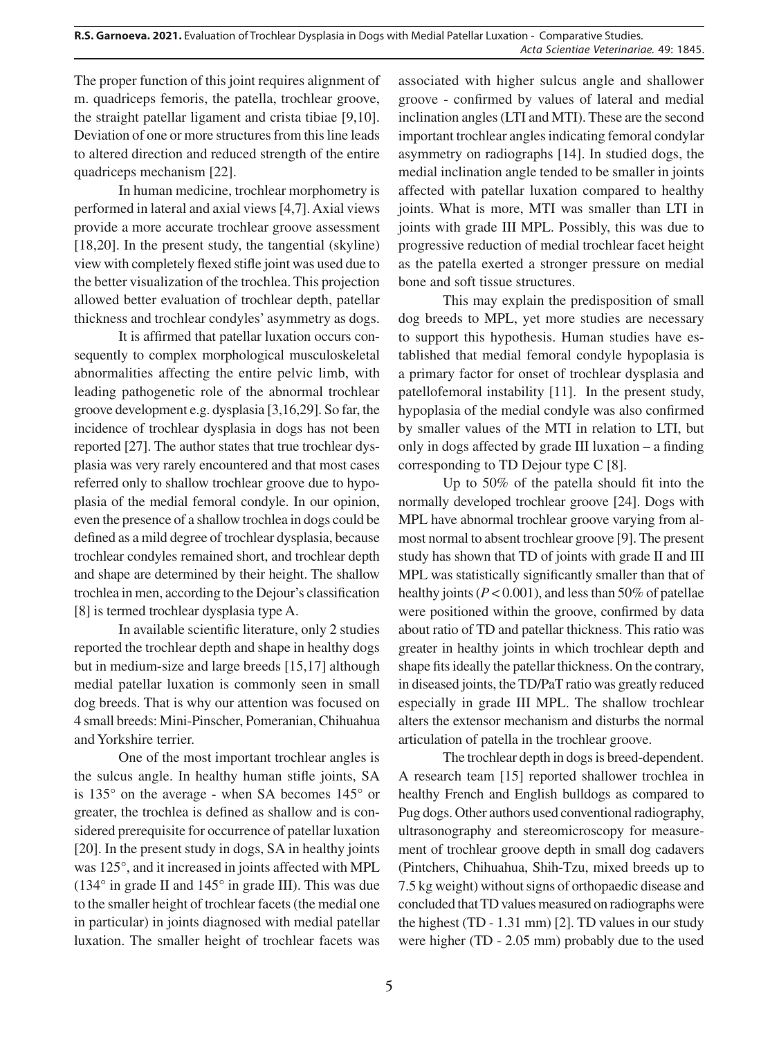The proper function of this joint requires alignment of m. quadriceps femoris, the patella, trochlear groove, the straight patellar ligament and crista tibiae [9,10]. Deviation of one or more structures from this line leads to altered direction and reduced strength of the entire quadriceps mechanism [22].

In human medicine, trochlear morphometry is performed in lateral and axial views [4,7]. Axial views provide a more accurate trochlear groove assessment [18,20]. In the present study, the tangential (skyline) view with completely flexed stifle joint was used due to the better visualization of the trochlea. This projection allowed better evaluation of trochlear depth, patellar thickness and trochlear condyles' asymmetry as dogs.

It is affirmed that patellar luxation occurs consequently to complex morphological musculoskeletal abnormalities affecting the entire pelvic limb, with leading pathogenetic role of the abnormal trochlear groove development e.g. dysplasia [3,16,29]. So far, the incidence of trochlear dysplasia in dogs has not been reported [27]. The author states that true trochlear dysplasia was very rarely encountered and that most cases referred only to shallow trochlear groove due to hypoplasia of the medial femoral condyle. In our opinion, even the presence of a shallow trochlea in dogs could be defined as a mild degree of trochlear dysplasia, because trochlear condyles remained short, and trochlear depth and shape are determined by their height. The shallow trochlea in men, according to the Dejour's classification [8] is termed trochlear dysplasia type A.

In available scientific literature, only 2 studies reported the trochlear depth and shape in healthy dogs but in medium-size and large breeds [15,17] although medial patellar luxation is commonly seen in small dog breeds. That is why our attention was focused on 4 small breeds: Mini-Pinscher, Pomeranian, Chihuahua and Yorkshire terrier.

One of the most important trochlear angles is the sulcus angle. In healthy human stifle joints, SA is 135° on the average - when SA becomes 145° or greater, the trochlea is defined as shallow and is considered prerequisite for occurrence of patellar luxation [20]. In the present study in dogs, SA in healthy joints was 125°, and it increased in joints affected with MPL (134 $\degree$  in grade II and 145 $\degree$  in grade III). This was due to the smaller height of trochlear facets (the medial one in particular) in joints diagnosed with medial patellar luxation. The smaller height of trochlear facets was

associated with higher sulcus angle and shallower groove - confirmed by values of lateral and medial inclination angles (LTI and MTI). These are the second important trochlear angles indicating femoral condylar asymmetry on radiographs [14]. In studied dogs, the medial inclination angle tended to be smaller in joints affected with patellar luxation compared to healthy joints. What is more, MTI was smaller than LTI in joints with grade III MPL. Possibly, this was due to progressive reduction of medial trochlear facet height as the patella exerted a stronger pressure on medial bone and soft tissue structures.

This may explain the predisposition of small dog breeds to MPL, yet more studies are necessary to support this hypothesis. Human studies have established that medial femoral condyle hypoplasia is a primary factor for onset of trochlear dysplasia and patellofemoral instability [11]. In the present study, hypoplasia of the medial condyle was also confirmed by smaller values of the MTI in relation to LTI, but only in dogs affected by grade III luxation – a finding corresponding to TD Dejour type C [8].

Up to 50% of the patella should fit into the normally developed trochlear groove [24]. Dogs with MPL have abnormal trochlear groove varying from almost normal to absent trochlear groove [9]. The present study has shown that TD of joints with grade II and III MPL was statistically significantly smaller than that of healthy joints ( $P < 0.001$ ), and less than 50% of patellae were positioned within the groove, confirmed by data about ratio of TD and patellar thickness. This ratio was greater in healthy joints in which trochlear depth and shape fits ideally the patellar thickness. On the contrary, in diseased joints, the TD/PaT ratio was greatly reduced especially in grade III MPL. The shallow trochlear alters the extensor mechanism and disturbs the normal articulation of patella in the trochlear groove.

The trochlear depth in dogs is breed-dependent. A research team [15] reported shallower trochlea in healthy French and English bulldogs as compared to Pug dogs. Other authors used conventional radiography, ultrasonography and stereomicroscopy for measurement of trochlear groove depth in small dog cadavers (Pintchers, Chihuahua, Shih-Tzu, mixed breeds up to 7.5 kg weight) without signs of orthopaedic disease and concluded that TD values measured on radiographs were the highest (TD - 1.31 mm) [2]. TD values in our study were higher (TD - 2.05 mm) probably due to the used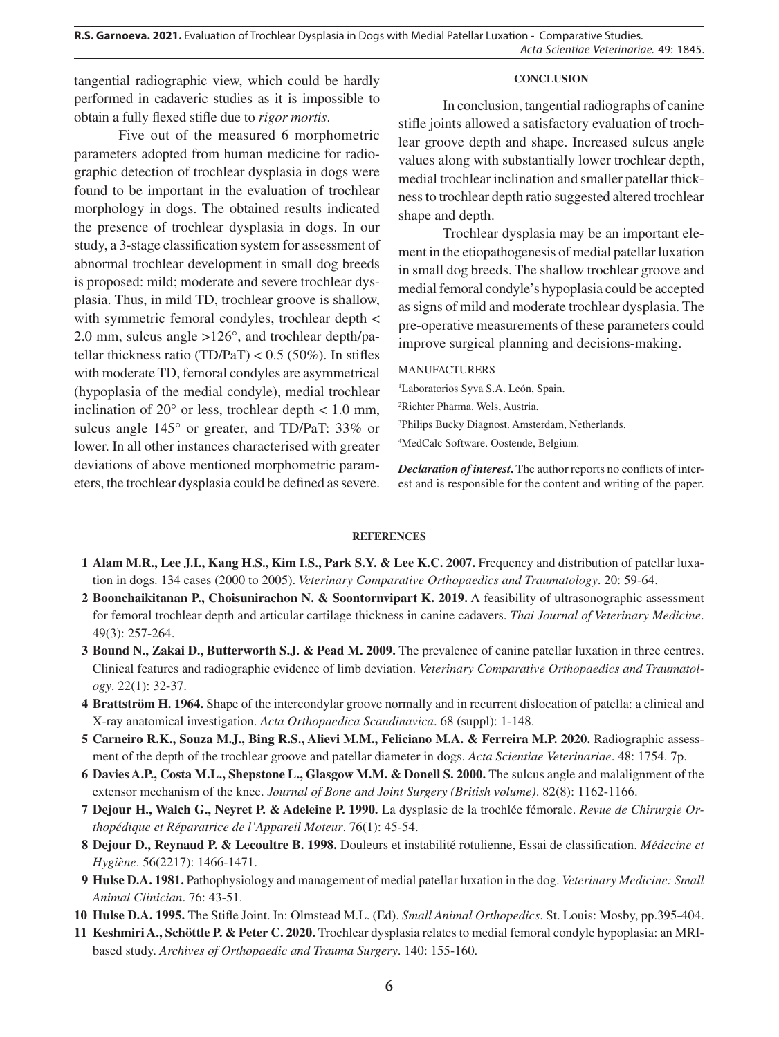**R.S. Garnoeva. 2021.** Evaluation of Trochlear Dysplasia in Dogs with Medial Patellar Luxation - Comparative Studies. *Acta Scientiae Veterinariae*. 49: 1845.

tangential radiographic view, which could be hardly performed in cadaveric studies as it is impossible to obtain a fully flexed stifle due to *rigor mortis*.

Five out of the measured 6 morphometric parameters adopted from human medicine for radiographic detection of trochlear dysplasia in dogs were found to be important in the evaluation of trochlear morphology in dogs. The obtained results indicated the presence of trochlear dysplasia in dogs. In our study, a 3-stage classification system for assessment of abnormal trochlear development in small dog breeds is proposed: mild; moderate and severe trochlear dysplasia. Thus, in mild TD, trochlear groove is shallow, with symmetric femoral condyles, trochlear depth < 2.0 mm, sulcus angle >126°, and trochlear depth/patellar thickness ratio (TD/PaT) <  $0.5$  (50%). In stifles with moderate TD, femoral condyles are asymmetrical (hypoplasia of the medial condyle), medial trochlear inclination of  $20^{\circ}$  or less, trochlear depth  $< 1.0$  mm, sulcus angle 145° or greater, and TD/PaT: 33% or lower. In all other instances characterised with greater deviations of above mentioned morphometric parameters, the trochlear dysplasia could be defined as severe.

#### **CONCLUSION**

In conclusion, tangential radiographs of canine stifle joints allowed a satisfactory evaluation of trochlear groove depth and shape. Increased sulcus angle values along with substantially lower trochlear depth, medial trochlear inclination and smaller patellar thickness to trochlear depth ratio suggested altered trochlear shape and depth.

Trochlear dysplasia may be an important element in the etiopathogenesis of medial patellar luxation in small dog breeds. The shallow trochlear groove and medial femoral condyle's hypoplasia could be accepted as signs of mild and moderate trochlear dysplasia. The pre-operative measurements of these parameters could improve surgical planning and decisions-making.

### MANUFACTURERS

 Laboratorios Syva S.A. León, Spain. Richter Pharma. Wels, Austria. Philips Bucky Diagnost. Amsterdam, Netherlands. MedCalc Software. Oostende, Belgium.

*Declaration of interest***.** The author reports no conflicts of interest and is responsible for the content and writing of the paper.

### **REFERENCES**

- **1 Alam M.R., Lee J.I., Kang H.S., Kim I.S., Park S.Y. & Lee K.C. 2007.** Frequency and distribution of patellar luxation in dogs. 134 cases (2000 to 2005). *Veterinary Comparative Orthopaedics and Traumatology*. 20: 59-64.
- **2 Boonchaikitanan P., Choisunirachon N. & Soontornvipart K. 2019.** A feasibility of ultrasonographic assessment for femoral trochlear depth and articular cartilage thickness in canine cadavers. *Thai Journal of Veterinary Medicine*. 49(3): 257-264.
- **3 Bound N., Zakai D., Butterworth S.J. & Pead M. 2009.** The prevalence of canine patellar luxation in three centres. Clinical features and radiographic evidence of limb deviation. *Veterinary Comparative Orthopaedics and Traumatology*. 22(1): 32-37.
- **4 Brattström H. 1964.** Shape of the intercondylar groove normally and in recurrent dislocation of patella: a clinical and X-ray anatomical investigation. *Acta Orthopaedica Scandinavica*. 68 (suppl): 1-148.
- **5 Carneiro R.K., Souza M.J., Bing R.S., Alievi M.M., Feliciano M.A. & Ferreira M.P. 2020.** Radiographic assessment of the depth of the trochlear groove and patellar diameter in dogs. *Acta Scientiae Veterinariae*. 48: 1754. 7p.
- **6 Davies A.P., Costa M.L., Shepstone L., Glasgow M.M. & Donell S. 2000.** The sulcus angle and malalignment of the extensor mechanism of the knee. *Journal of Bone and Joint Surgery (British volume)*. 82(8): 1162-1166.
- **7 Dejour H., Walch G., Neyret P. & Adeleine P. 1990.** La dysplasie de la trochlée fémorale. *Revue de Chirurgie Orthopédique et Réparatrice de l'Appareil Moteur*. 76(1): 45-54.
- **8 Dejour D., Reynaud P. & Lecoultre B. 1998.** Douleurs et instabilité rotulienne, Essai de classification. *Médecine et Hygiène*. 56(2217): 1466-1471.
- **9 Hulse D.A. 1981.** Pathophysiology and management of medial patellar luxation in the dog. *Veterinary Medicine: Small Animal Clinician*. 76: 43-51.
- **10 Hulse D.A. 1995.** The Stifle Joint. In: Olmstead M.L. (Ed). *Small Animal Orthopedics*. St. Louis: Mosby, pp.395-404.
- **11 Keshmiri A., Schöttle P. & Peter C. 2020.** Trochlear dysplasia relates to medial femoral condyle hypoplasia: an MRIbased study. *Archives of Orthopaedic and Trauma Surgery*. 140: 155-160.